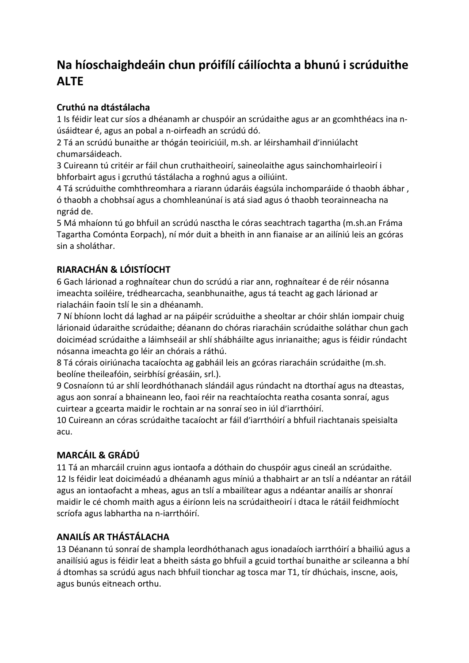# **Na híoschaighdeáin chun próifílí cáilíochta a bhunú i scrúduithe ALTE**

### **Cruthú na dtástálacha**

1 Is féidir leat cur síos a dhéanamh ar chuspóir an scrúdaithe agus ar an gcomhthéacs ina núsáidtear é, agus an pobal a n-oirfeadh an scrúdú dó.

2 Tá an scrúdú bunaithe ar thógán teoiriciúil, m.sh. ar léirshamhail d'inniúlacht chumarsáideach.

3 Cuireann tú critéir ar fáil chun cruthaitheoirí, saineolaithe agus sainchomhairleoirí i bhforbairt agus i gcruthú tástálacha a roghnú agus a oiliúint.

4 Tá scrúduithe comhthreomhara a riarann údaráis éagsúla inchomparáide ó thaobh ábhar , ó thaobh a chobhsaí agus a chomhleanúnaí is atá siad agus ó thaobh teorainneacha na ngrád de.

5 Má mhaíonn tú go bhfuil an scrúdú nasctha le córas seachtrach tagartha (m.sh.an Fráma Tagartha Comónta Eorpach), ní mór duit a bheith in ann fianaise ar an ailíniú leis an gcóras sin a sholáthar.

## **RIARACHÁN & LÓISTÍOCHT**

6 Gach lárionad a roghnaítear chun do scrúdú a riar ann, roghnaítear é de réir nósanna imeachta soiléire, trédhearcacha, seanbhunaithe, agus tá teacht ag gach lárionad ar rialacháin faoin tslí le sin a dhéanamh.

7 Ní bhíonn locht dá laghad ar na páipéir scrúduithe a sheoltar ar chóir shlán iompair chuig lárionaid údaraithe scrúdaithe; déanann do chóras riaracháin scrúdaithe soláthar chun gach doiciméad scrúdaithe a láimhseáil ar shlí shábháilte agus inrianaithe; agus is féidir rúndacht nósanna imeachta go léir an chórais a ráthú.

8 Tá córais oiriúnacha tacaíochta ag gabháil leis an gcóras riaracháin scrúdaithe (m.sh. beolíne theileafóin, seirbhísí gréasáin, srl.).

9 Cosnaíonn tú ar shlí leordhóthanach slándáil agus rúndacht na dtorthaí agus na dteastas, agus aon sonraí a bhaineann leo, faoi réir na reachtaíochta reatha cosanta sonraí, agus cuirtear a gcearta maidir le rochtain ar na sonraí seo in iúl d'iarrthóirí.

10 Cuireann an córas scrúdaithe tacaíocht ar fáil d'iarrthóirí a bhfuil riachtanais speisialta acu.

#### **MARCÁIL & GRÁDÚ**

11 Tá an mharcáil cruinn agus iontaofa a dóthain do chuspóir agus cineál an scrúdaithe. 12 Is féidir leat doiciméadú a dhéanamh agus míniú a thabhairt ar an tslí a ndéantar an rátáil agus an iontaofacht a mheas, agus an tslí a mbailítear agus a ndéantar anailís ar shonraí maidir le cé chomh maith agus a éiríonn leis na scrúdaitheoirí i dtaca le rátáil feidhmíocht scríofa agus labhartha na n-iarrthóirí.

#### **ANAILÍS AR THÁSTÁLACHA**

13 Déanann tú sonraí de shampla leordhóthanach agus ionadaíoch iarrthóirí a bhailiú agus a anailísiú agus is féidir leat a bheith sásta go bhfuil a gcuid torthaí bunaithe ar scileanna a bhí á dtomhas sa scrúdú agus nach bhfuil tionchar ag tosca mar T1, tír dhúchais, inscne, aois, agus bunús eitneach orthu.